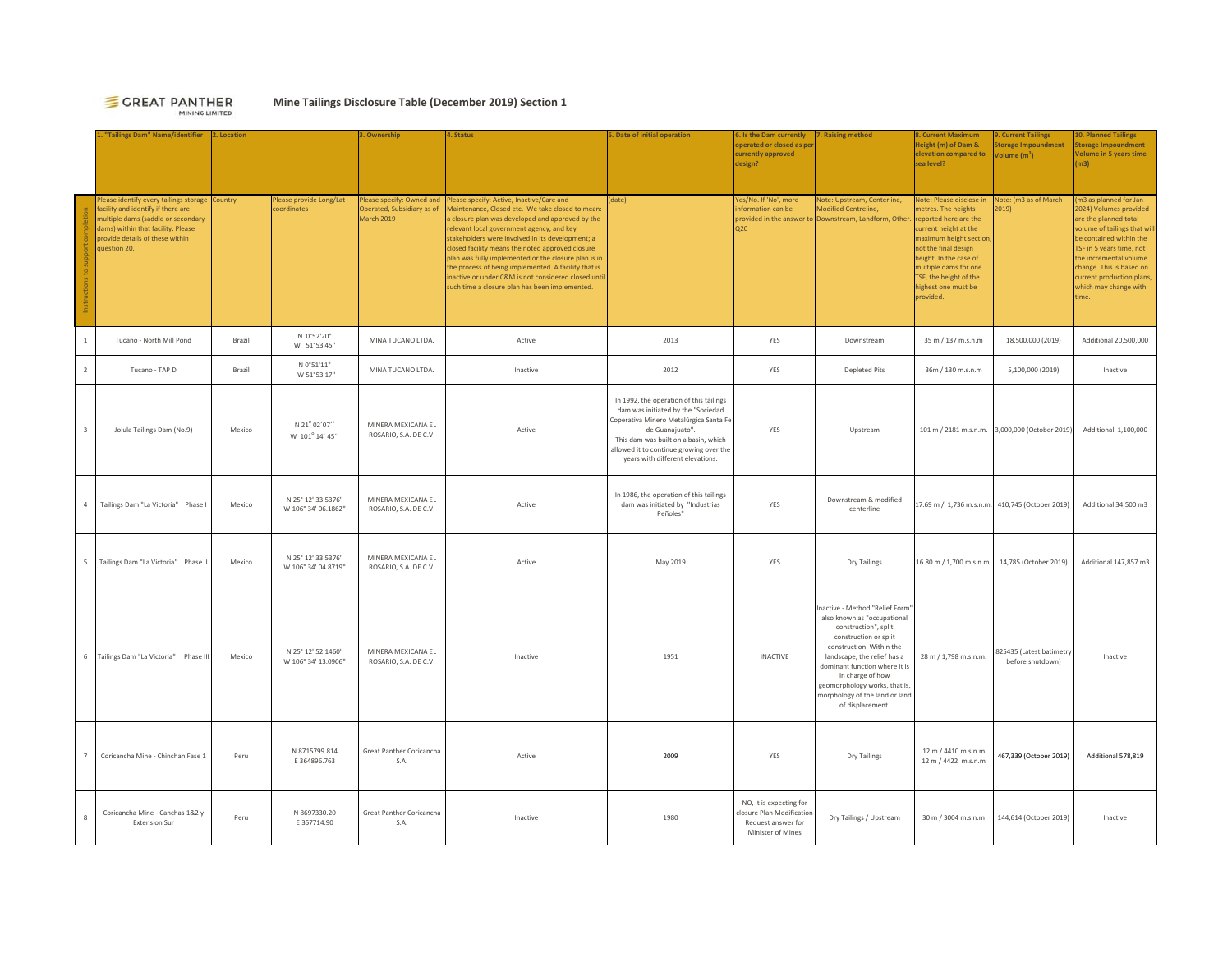### **E** GREAT PANTHER MINING LIMITED

# **Mine Tailings Disclosure Table (December 2019) Section 1**

**1. "Tailings Dam" Name/identifier 3. Ownership 4. Status 5. Date of initial operation 6. Is the Dam currently perated or closed as performance currently approved design? Raising method Height (m) of Dam & elevation compared to sea level?ent Tailing Stage Impoundment Volume (m3) Planned Tailings Storage Impoundment Volume in 5 years time (m3)** Instructions to support completion lease identify every tailings storage Country cility and identify if there are multiple dams (saddle or secondary ams) within that facility. Please provide details of these within uestion 20. Please provide Long/Lat ordinates Please specify: Owned and Operated, Subsidiary as of March 2019 Please specify: Active, Inactive/Care and Aaintenance, Closed etc. We take closed to mear closure plan was developed and approved by the **relevant local government agency, and key** takeholders were involved in its development; a losed facility means the noted approved closure plan was fully implemented or the closure plan is in he process of being implemented. A facility that is nactive or under C&M is not considered closed until uch time a closure plan has been implemented. (date) Yes/No. If 'No', more **information** can be provided in the answer to Note: Upstream, Centerline, odified Centreline, wnstream, Landform, Other Note: Please disclose in etres. The heights eported here are the irrent height at the aximum height section not the final design height. In the case of multiple dams for one TSF, the height of the highest one must be provided. Note: (m3 as of March  $(19)$ m3 as planned for Jan 2024) Volumes provided re the planned total volume of tailings that wi e contained within the TSF in 5 years time, not he incremental volume change. This is based on irrent production plans which may change with time.<sup>1</sup> Tucano ‐ North Mill Pond Brazil N 0°52'20" W 51°53'45" MINA TUCANO LTDA. Active <sup>2013</sup> YES Downstream 35 m / 137 m.s.n.m 18,500,000 (2019) Additional 20,500,000 2 Tucano - TAP D Brazil  $N O^{\circ} 51' 11''$  N  $N 51' 53' 17''$ u MINATUCANO LTDA. Inactive Inactive 2012 YES Depleted Pits 36m / 130 m.s.n.m 5,100,000 (2019) Inactive Inactive 3 Jolula Tailings Dam (No.9) Mexico N 21° 02´07´  $W 101^{\circ} 14' 45'$ MINERA MEXICANA EL NIINERA MEXICANA EL **Active**<br>ROSARIO, S.A. DE C.V. In 1992, the operation of this tailings dam was initiated by the "Sociedad Coperativa Minero Metalúrgica Santa Fe de Guanajuato". This dam was built on a basin, which allowed it to continue growing over the years with different elevations. YES Upstream 101 m / 2181 m.s.n.m. 3,000,000 (October 2019) Additional 1,100,000 4 Tailings Dam "La Victoria" Phase I Mexico N 25° 12' 33.5376" MINERA MEXICANA EL **INCERTA EL EL ROSARIO, S.A. DE C.V.** Active Industrial and Was initiated by "Industrias dam was initiated by "Industrias Peñoles" **Peñoles** Peñoles" YES Downstream & modified  $\begin{bmatrix} 17.69 \text{ m / } 1.736 \text{ m.s.n.m.} \end{bmatrix}$  410,745 (October 2019) Additional 34,500 m3 <sup>5</sup> Tailings Dam "La Victoria" Phase II Mexico N 25° 12' 33.5376" W 106° 34' 04.8719" MINERA MEXICANA EL ROSARIO, S.A. DE C.V. Active May 2019 YES Dry Tailings 16.80 m / 1,700 m.s.n.m. 14,785 (October 2019) Additional 147,857 m3 <sup>6</sup> Tailings Dam "La Victoria" Phase III Mexico N 25° 12' 52.1460" W 106° 34' 13.0906" MINERA MEXICANA EL ROSARIO, S.A. DE C.V. Inactive <sup>1951</sup> INACTIVE Inactive ‐ Method "Relief Form" also known as "occupational construction", split construction or split construction. Within the landscape, the relief has a dominant function where it is in charge of how geomorphology works, that is, morphology of the land or land of displacement. 28 m / 1,798 m.s.n.m. 825435 (Latest batimetry Inactive <sup>7</sup> Coricancha Mine ‐ Chinchan Fase 1 Peru N 8715799.814 E 364896.763 Great Panther Coricancha S.A. Active <sup>2009</sup> YES Dry Tailings 12 m / 4410 m.s.n.m 12 m / 4422 m.s.n.m12 m / 4410 m.s.n.m<br>12 m / 4422 m.s.n.m 467,339 (October 2019) Additional 578,819 8 Coricancha Mine ‐ Canchas 1&2 y Extension Sur Peru N 8697330.20 E 357714.90 Great Panther Coricancha S.A. Inactive <sup>1980</sup> NO, it is expecting for osure Plan Modification Request answer for Minister of MinesDry Tailings / Upstream 30 m / 3004 m.s.n.m 144,614 (October 2019) Inactive **2. Location**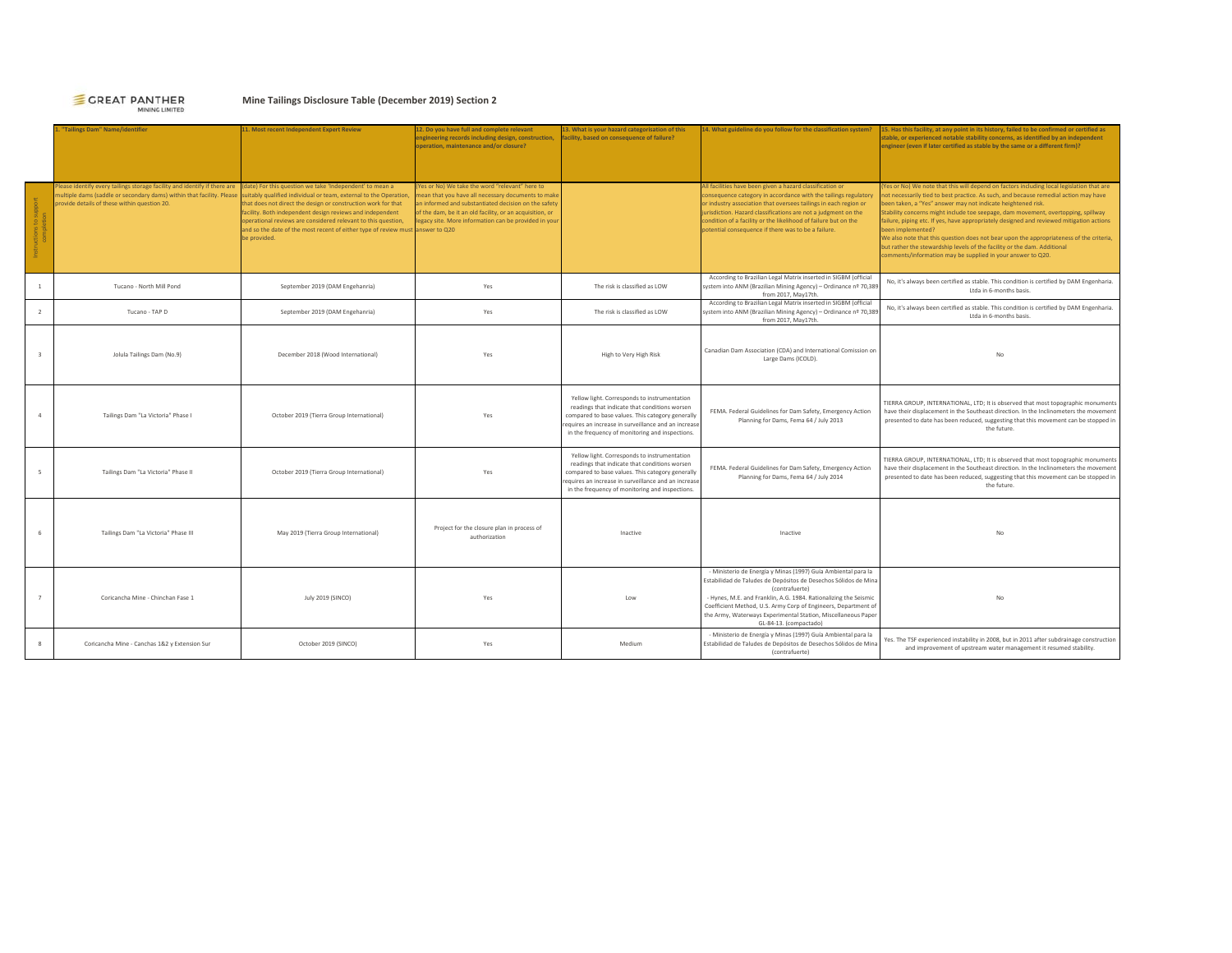# GREAT PANTHER

# **Mine Tailings Disclosure Table (December 2019) Section 2**

|                | "Tailings Dam" Name/identifier                                                                                                                                                                     | 11. Most recent Independent Expert Review                                                                                                                                                                                                                                                                                                                                                                                      | 12. Do you have full and complete relevant<br>engineering records including design, construction,<br>operation, maintenance and/or closure?                                                                                                                                        | 13. What is your hazard categorisation of this<br>facility, based on consequence of failure?                                                                                                                                                                | 14. What guideline do you follow for the classification system?                                                                                                                                                                                                                                                                                                                              | 15. Has this facility, at any point in its history, failed to be confirmed or certified as<br>stable, or experienced notable stability concerns, as identified by an independent<br>engineer (even if later certified as stable by the same or a different firm)?                                                                                                                                                                                                                                                                                                                                                                                                                             |
|----------------|----------------------------------------------------------------------------------------------------------------------------------------------------------------------------------------------------|--------------------------------------------------------------------------------------------------------------------------------------------------------------------------------------------------------------------------------------------------------------------------------------------------------------------------------------------------------------------------------------------------------------------------------|------------------------------------------------------------------------------------------------------------------------------------------------------------------------------------------------------------------------------------------------------------------------------------|-------------------------------------------------------------------------------------------------------------------------------------------------------------------------------------------------------------------------------------------------------------|----------------------------------------------------------------------------------------------------------------------------------------------------------------------------------------------------------------------------------------------------------------------------------------------------------------------------------------------------------------------------------------------|-----------------------------------------------------------------------------------------------------------------------------------------------------------------------------------------------------------------------------------------------------------------------------------------------------------------------------------------------------------------------------------------------------------------------------------------------------------------------------------------------------------------------------------------------------------------------------------------------------------------------------------------------------------------------------------------------|
|                | Please identify every tailings storage facility and identify if there are<br>nultiple dams (saddle or secondary dams) within that facility. Please<br>provide details of these within question 20. | (date) For this question we take 'Independent' to mean a<br>suitably qualified individual or team, external to the Operation,<br>that does not direct the design or construction work for that<br>facility. Both independent design reviews and independent<br>operational reviews are considered relevant to this question,<br>and so the date of the most recent of either type of review must answer to Q20<br>be provided. | (Yes or No) We take the word "relevant" here to<br>mean that you have all necessary documents to make<br>an informed and substantiated decision on the safety<br>of the dam, be it an old facility, or an acquisition, or<br>legacy site. More information can be provided in your |                                                                                                                                                                                                                                                             | All facilities have been given a hazard classification or<br>consequence category in accordance with the tailings regulatory<br>or industry association that oversees tailings in each region or<br>jurisdiction. Hazard classifications are not a judgment on the<br>condition of a facility or the likelihood of failure but on the<br>potential consequence if there was to be a failure. | (Yes or No) We note that this will depend on factors including local legislation that are<br>not necessarily tied to best practice. As such, and because remedial action may have<br>been taken, a "Yes" answer may not indicate heightened risk.<br>Stability concerns might include toe seepage, dam movement, overtopping, spillway<br>failure, piping etc. If yes, have appropriately designed and reviewed mitigation actions<br>been implemented?<br>We also note that this question does not bear upon the appropriateness of the criteria,<br>but rather the stewardship levels of the facility or the dam. Additional<br>comments/information may be supplied in your answer to Q20. |
| $\overline{1}$ | Tucano - North Mill Pond                                                                                                                                                                           | September 2019 (DAM Engehanria)                                                                                                                                                                                                                                                                                                                                                                                                | Yes                                                                                                                                                                                                                                                                                | The risk is classified as LOW                                                                                                                                                                                                                               | According to Brazilian Legal Matrix inserted in SIGBM (official<br>system into ANM (Brazilian Mining Agency) - Ordinance nº 70,389<br>from 2017, May17th.                                                                                                                                                                                                                                    | No, it's always been certified as stable. This condition is certified by DAM Engenharia.<br>Ltda in 6-months basis.                                                                                                                                                                                                                                                                                                                                                                                                                                                                                                                                                                           |
| $\overline{z}$ | Tucano - TAP D                                                                                                                                                                                     | September 2019 (DAM Engehanria)                                                                                                                                                                                                                                                                                                                                                                                                | Yes                                                                                                                                                                                                                                                                                | The risk is classified as LOW                                                                                                                                                                                                                               | According to Brazilian Legal Matrix inserted in SIGBM (official<br>system into ANM (Brazilian Mining Agency) - Ordinance nº 70,389<br>from 2017, May17th.                                                                                                                                                                                                                                    | No, it's always been certified as stable. This condition is certified by DAM Engenharia.<br>Ltda in 6-months basis.                                                                                                                                                                                                                                                                                                                                                                                                                                                                                                                                                                           |
|                | Jolula Tailings Dam (No.9)                                                                                                                                                                         | December 2018 (Wood International)                                                                                                                                                                                                                                                                                                                                                                                             | Yes                                                                                                                                                                                                                                                                                | High to Very High Risk                                                                                                                                                                                                                                      | Canadian Dam Association (CDA) and International Comission on<br>Large Dams (ICOLD).                                                                                                                                                                                                                                                                                                         | No                                                                                                                                                                                                                                                                                                                                                                                                                                                                                                                                                                                                                                                                                            |
|                | Tailings Dam "La Victoria" Phase I                                                                                                                                                                 | October 2019 (Tierra Group International)                                                                                                                                                                                                                                                                                                                                                                                      | Yes                                                                                                                                                                                                                                                                                | Yellow light. Corresponds to instrumentation<br>readings that indicate that conditions worsen<br>compared to base values. This category generally<br>equires an increase in surveillance and an increase<br>in the frequency of monitoring and inspections. | FEMA. Federal Guidelines for Dam Safety, Emergency Action<br>Planning for Dams, Fema 64 / July 2013                                                                                                                                                                                                                                                                                          | TIERRA GROUP, INTERNATIONAL, LTD; It is observed that most topographic monuments<br>have their displacement in the Southeast direction. In the Inclinometers the movement<br>presented to date has been reduced, suggesting that this movement can be stopped in<br>the future.                                                                                                                                                                                                                                                                                                                                                                                                               |
|                | Tailings Dam "La Victoria" Phase II                                                                                                                                                                | October 2019 (Tierra Group International)                                                                                                                                                                                                                                                                                                                                                                                      | Yes                                                                                                                                                                                                                                                                                | Yellow light. Corresponds to instrumentation<br>readings that indicate that conditions worsen<br>compared to base values. This category generally<br>equires an increase in surveillance and an increase<br>in the frequency of monitoring and inspections. | FEMA. Federal Guidelines for Dam Safety, Emergency Action<br>Planning for Dams, Fema 64 / July 2014                                                                                                                                                                                                                                                                                          | TIERRA GROUP, INTERNATIONAL, LTD; It is observed that most topographic monuments<br>have their displacement in the Southeast direction. In the Inclinometers the movement<br>presented to date has been reduced, suggesting that this movement can be stopped in<br>the future.                                                                                                                                                                                                                                                                                                                                                                                                               |
|                | Tailings Dam "La Victoria" Phase III                                                                                                                                                               | May 2019 (Tierra Group International)                                                                                                                                                                                                                                                                                                                                                                                          | Project for the closure plan in process of<br>authorization                                                                                                                                                                                                                        | Inactive                                                                                                                                                                                                                                                    | Inactive                                                                                                                                                                                                                                                                                                                                                                                     | No                                                                                                                                                                                                                                                                                                                                                                                                                                                                                                                                                                                                                                                                                            |
| $\overline{7}$ | Coricancha Mine - Chinchan Fase 1                                                                                                                                                                  | July 2019 (SINCO)                                                                                                                                                                                                                                                                                                                                                                                                              | Yes                                                                                                                                                                                                                                                                                | 1 <sub>ow</sub>                                                                                                                                                                                                                                             | - Ministerio de Energía y Minas (1997) Guía Ambiental para la<br>Estabilidad de Taludes de Depósitos de Desechos Sólidos de Mina<br>(contrafuerte)<br>- Hynes, M.E. and Franklin, A.G. 1984. Rationalizing the Seismic<br>Coefficient Method, U.S. Army Corp of Engineers, Department of<br>the Army, Waterways Experimental Station, Miscellaneous Paper<br>GL-84-13. (compactado)          | No                                                                                                                                                                                                                                                                                                                                                                                                                                                                                                                                                                                                                                                                                            |
|                | Coricancha Mine - Canchas 1&2 y Extension Sur                                                                                                                                                      | October 2019 (SINCO)                                                                                                                                                                                                                                                                                                                                                                                                           | Yes                                                                                                                                                                                                                                                                                | Medium                                                                                                                                                                                                                                                      | - Ministerio de Energía y Minas (1997) Guía Ambiental para la<br>Estabilidad de Taludes de Depósitos de Desechos Sólidos de Mina<br>(contrafuerte)                                                                                                                                                                                                                                           | Yes. The TSF experienced instability in 2008, but in 2011 after subdrainage construction<br>and improvement of upstream water management it resumed stability.                                                                                                                                                                                                                                                                                                                                                                                                                                                                                                                                |